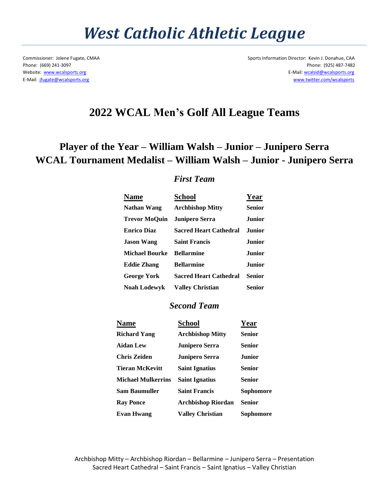## *West Catholic Athletic League*

Commissioner: Jolene Fugate, CMAA Sports Information Director: Kevin J. Donahue, CAA Phone: (669) 241-3097 Phone: (925) 487-7482 Website: [www.wcalsports.org](http://www.wcalsports.org/) E-Mail: wcalsid@wcalsports.org E-Mail: [jfugate@wcalsports.org](mailto:jfugate@wcalsports.org) [www.twitter.com/wcalsports](http://www.twitter.com/wcalsports) 

### **2022 WCAL Men's Golf All League Teams**

## **Player of the Year – William Walsh – Junior – Junipero Serra WCAL Tournament Medalist – William Walsh – Junior - Junipero Serra**

### *First Team*

| <b>Name</b>           | School                        | Year          |
|-----------------------|-------------------------------|---------------|
| <b>Nathan Wang</b>    | <b>Archbishop Mitty</b>       | Senior        |
| <b>Trevor MoQuin</b>  | <b>Junipero Serra</b>         | <b>Junior</b> |
| <b>Enrico Diaz</b>    | <b>Sacred Heart Cathedral</b> | <b>Junior</b> |
| <b>Jason Wang</b>     | <b>Saint Francis</b>          | <b>Junior</b> |
| <b>Michael Bourke</b> | <b>Bellarmine</b>             | <b>Junior</b> |
| <b>Eddie Zhang</b>    | <b>Bellarmine</b>             | <b>Junior</b> |
| <b>George York</b>    | <b>Sacred Heart Cathedral</b> | <b>Senior</b> |
| <b>Noah Lodewyk</b>   | <b>Valley Christian</b>       | Senior        |

#### *Second Team*

| <b>Name</b>               | <b>School</b>             | Year          |
|---------------------------|---------------------------|---------------|
| <b>Richard Yang</b>       | <b>Archbishop Mitty</b>   | Senior        |
| <b>Aidan Lew</b>          | <b>Junipero Serra</b>     | Senior        |
| Chris Zeiden              | <b>Junipero Serra</b>     | <b>Junior</b> |
| <b>Tieran McKevitt</b>    | <b>Saint Ignatius</b>     | Senior        |
| <b>Michael Mulkerrins</b> | <b>Saint Ignatius</b>     | <b>Senior</b> |
| Sam Baumuller             | <b>Saint Francis</b>      | Sophomore     |
| <b>Ray Ponce</b>          | <b>Archbishop Riordan</b> | Senior        |
| <b>Evan Hwang</b>         | <b>Valley Christian</b>   | Sophomore     |

Archbishop Mitty – Archbishop Riordan – Bellarmine – Junipero Serra – Presentation Sacred Heart Cathedral – Saint Francis – Saint Ignatius – Valley Christian